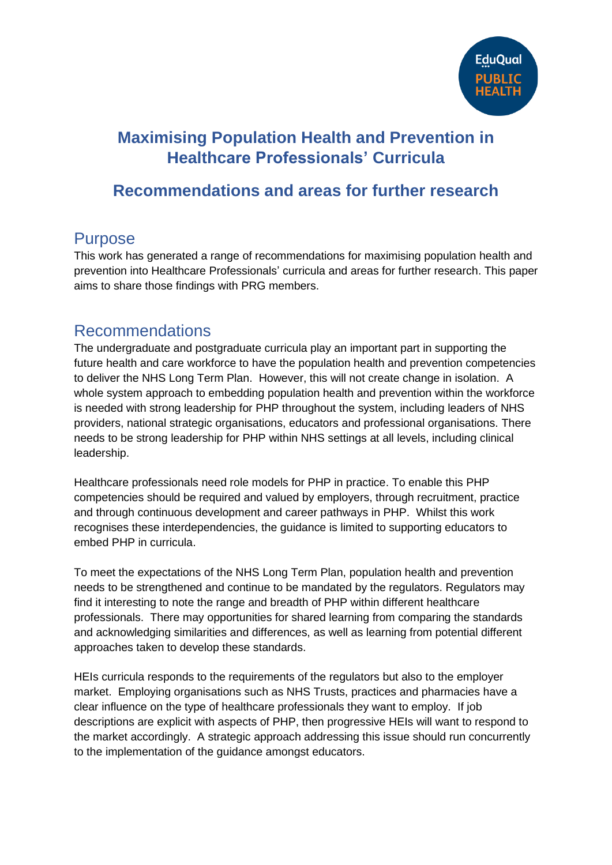

# **Maximising Population Health and Prevention in Healthcare Professionals' Curricula**

## **Recommendations and areas for further research**

## Purpose

This work has generated a range of recommendations for maximising population health and prevention into Healthcare Professionals' curricula and areas for further research. This paper aims to share those findings with PRG members.

#### Recommendations

The undergraduate and postgraduate curricula play an important part in supporting the future health and care workforce to have the population health and prevention competencies to deliver the NHS Long Term Plan. However, this will not create change in isolation. A whole system approach to embedding population health and prevention within the workforce is needed with strong leadership for PHP throughout the system, including leaders of NHS providers, national strategic organisations, educators and professional organisations. There needs to be strong leadership for PHP within NHS settings at all levels, including clinical leadership.

Healthcare professionals need role models for PHP in practice. To enable this PHP competencies should be required and valued by employers, through recruitment, practice and through continuous development and career pathways in PHP. Whilst this work recognises these interdependencies, the guidance is limited to supporting educators to embed PHP in curricula.

To meet the expectations of the NHS Long Term Plan, population health and prevention needs to be strengthened and continue to be mandated by the regulators. Regulators may find it interesting to note the range and breadth of PHP within different healthcare professionals. There may opportunities for shared learning from comparing the standards and acknowledging similarities and differences, as well as learning from potential different approaches taken to develop these standards.

HEIs curricula responds to the requirements of the regulators but also to the employer market. Employing organisations such as NHS Trusts, practices and pharmacies have a clear influence on the type of healthcare professionals they want to employ. If job descriptions are explicit with aspects of PHP, then progressive HEIs will want to respond to the market accordingly. A strategic approach addressing this issue should run concurrently to the implementation of the guidance amongst educators.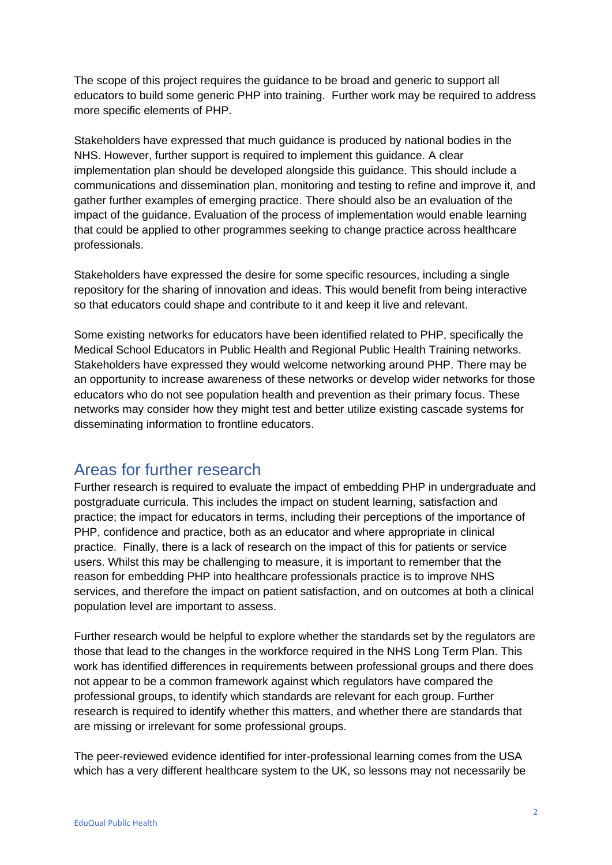The scope of this project requires the guidance to be broad and generic to support all educators to build some generic PHP into training. Further work may be required to address more specific elements of PHP.

Stakeholders have expressed that much guidance is produced by national bodies in the NHS. However, further support is required to implement this guidance. A clear implementation plan should be developed alongside this guidance. This should include a communications and dissemination plan, monitoring and testing to refine and improve it, and gather further examples of emerging practice. There should also be an evaluation of the impact of the guidance. Evaluation of the process of implementation would enable learning that could be applied to other programmes seeking to change practice across healthcare professionals.

Stakeholders have expressed the desire for some specific resources, including a single repository for the sharing of innovation and ideas. This would benefit from being interactive so that educators could shape and contribute to it and keep it live and relevant.

Some existing networks for educators have been identified related to PHP, specifically the Medical School Educators in Public Health and Regional Public Health Training networks. Stakeholders have expressed they would welcome networking around PHP. There may be an opportunity to increase awareness of these networks or develop wider networks for those educators who do not see population health and prevention as their primary focus. These networks may consider how they might test and better utilize existing cascade systems for disseminating information to frontline educators.

#### Areas for further research

Further research is required to evaluate the impact of embedding PHP in undergraduate and postgraduate curricula. This includes the impact on student learning, satisfaction and practice; the impact for educators in terms, including their perceptions of the importance of PHP, confidence and practice, both as an educator and where appropriate in clinical practice. Finally, there is a lack of research on the impact of this for patients or service users. Whilst this may be challenging to measure, it is important to remember that the reason for embedding PHP into healthcare professionals practice is to improve NHS services, and therefore the impact on patient satisfaction, and on outcomes at both a clinical population level are important to assess.

Further research would be helpful to explore whether the standards set by the regulators are those that lead to the changes in the workforce required in the NHS Long Term Plan. This work has identified differences in requirements between professional groups and there does not appear to be a common framework against which regulators have compared the professional groups, to identify which standards are relevant for each group. Further research is required to identify whether this matters, and whether there are standards that are missing or irrelevant for some professional groups.

The peer-reviewed evidence identified for inter-professional learning comes from the USA which has a very different healthcare system to the UK, so lessons may not necessarily be